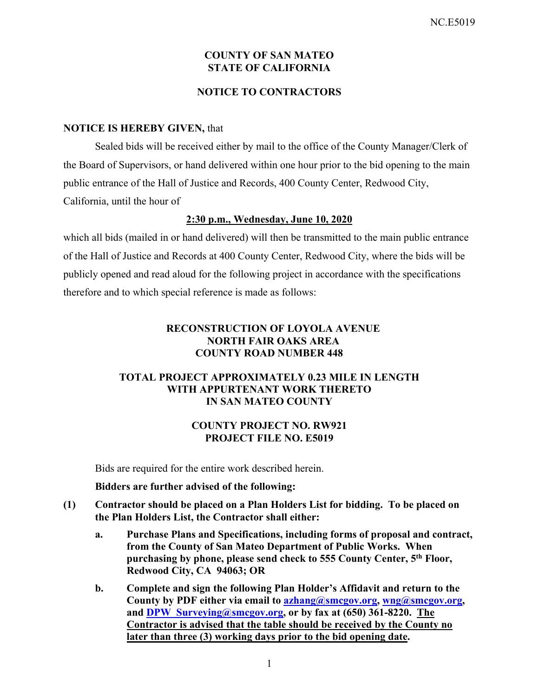## **COUNTY OF SAN MATEO STATE OF CALIFORNIA**

## **NOTICE TO CONTRACTORS**

#### **NOTICE IS HEREBY GIVEN,** that

Sealed bids will be received either by mail to the office of the County Manager/Clerk of the Board of Supervisors, or hand delivered within one hour prior to the bid opening to the main public entrance of the Hall of Justice and Records, 400 County Center, Redwood City, California, until the hour of

#### **2:30 p.m., Wednesday, June 10, 2020**

which all bids (mailed in or hand delivered) will then be transmitted to the main public entrance of the Hall of Justice and Records at 400 County Center, Redwood City, where the bids will be publicly opened and read aloud for the following project in accordance with the specifications therefore and to which special reference is made as follows:

## **RECONSTRUCTION OF LOYOLA AVENUE NORTH FAIR OAKS AREA COUNTY ROAD NUMBER 448**

## **TOTAL PROJECT APPROXIMATELY 0.23 MILE IN LENGTH WITH APPURTENANT WORK THERETO IN SAN MATEO COUNTY**

## **COUNTY PROJECT NO. RW921 PROJECT FILE NO. E5019**

Bids are required for the entire work described herein.

**Bidders are further advised of the following:** 

- **(1) Contractor should be placed on a Plan Holders List for bidding. To be placed on the Plan Holders List, the Contractor shall either:** 
	- **a. Purchase Plans and Specifications, including forms of proposal and contract, from the County of San Mateo Department of Public Works. When purchasing by phone, please send check to 555 County Center, 5th Floor, Redwood City, CA 94063; OR**
	- **b. Complete and sign the following Plan Holder's Affidavit and return to the County by PDF either via email to azhang@smcgov.org, wng@smcgov.org, and DPW\_Surveying@smcgov.org, or by fax at (650) 361-8220. The Contractor is advised that the table should be received by the County no later than three (3) working days prior to the bid opening date.**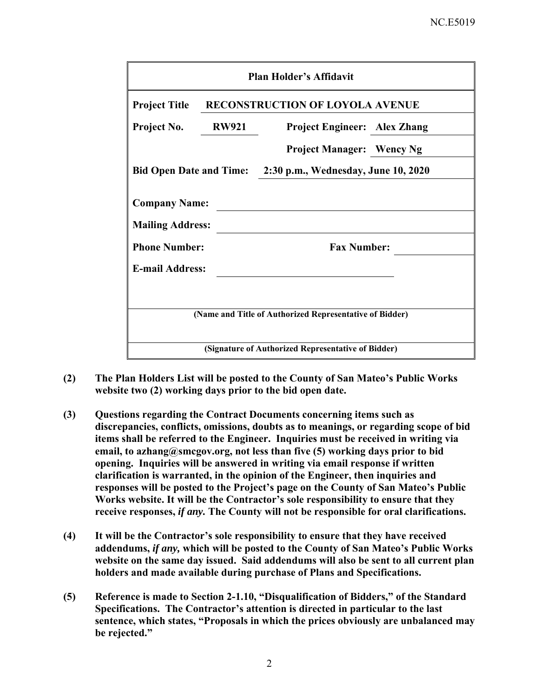| <b>Project Title</b>                                                      | <b>RECONSTRUCTION OF LOYOLA AVENUE</b>                  |
|---------------------------------------------------------------------------|---------------------------------------------------------|
| Project No.<br><b>RW921</b>                                               | <b>Project Engineer: Alex Zhang</b>                     |
|                                                                           | <b>Project Manager: Wency Ng</b>                        |
| <b>Bid Open Date and Time:</b>                                            | 2:30 p.m., Wednesday, June 10, 2020                     |
| <b>Mailing Address:</b><br><b>Phone Number:</b><br><b>E-mail Address:</b> | <b>Fax Number:</b>                                      |
|                                                                           |                                                         |
|                                                                           | (Name and Title of Authorized Representative of Bidder) |

- **(2) The Plan Holders List will be posted to the County of San Mateo's Public Works website two (2) working days prior to the bid open date.**
- **(3) Questions regarding the Contract Documents concerning items such as discrepancies, conflicts, omissions, doubts as to meanings, or regarding scope of bid items shall be referred to the Engineer. Inquiries must be received in writing via email, to azhang@smcgov.org, not less than five (5) working days prior to bid opening. Inquiries will be answered in writing via email response if written clarification is warranted, in the opinion of the Engineer, then inquiries and responses will be posted to the Project's page on the County of San Mateo's Public Works website. It will be the Contractor's sole responsibility to ensure that they receive responses,** *if any.* **The County will not be responsible for oral clarifications.**
- **(4) It will be the Contractor's sole responsibility to ensure that they have received addendums,** *if any,* **which will be posted to the County of San Mateo's Public Works website on the same day issued. Said addendums will also be sent to all current plan holders and made available during purchase of Plans and Specifications.**
- **(5) Reference is made to Section 2-1.10, "Disqualification of Bidders," of the Standard Specifications. The Contractor's attention is directed in particular to the last sentence, which states, "Proposals in which the prices obviously are unbalanced may be rejected."**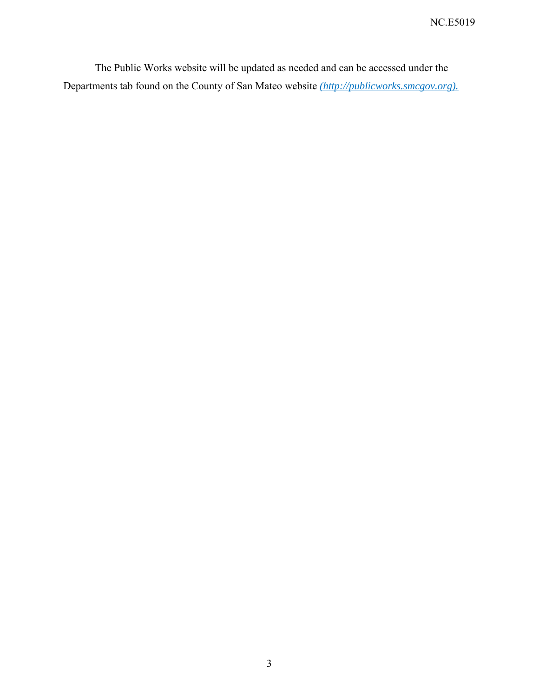The Public Works website will be updated as needed and can be accessed under the Departments tab found on the County of San Mateo website *(http://publicworks.smcgov.org).*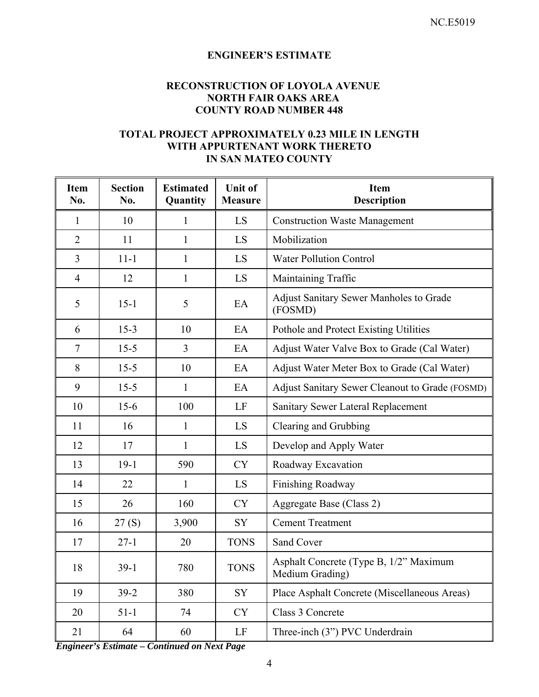# **ENGINEER'S ESTIMATE**

# **RECONSTRUCTION OF LOYOLA AVENUE NORTH FAIR OAKS AREA COUNTY ROAD NUMBER 448**

## **TOTAL PROJECT APPROXIMATELY 0.23 MILE IN LENGTH WITH APPURTENANT WORK THERETO IN SAN MATEO COUNTY**

| <b>Item</b><br>No. | <b>Section</b><br>No. | <b>Estimated</b><br>Quantity | <b>Unit of</b><br><b>Measure</b> | <b>Item</b><br><b>Description</b>                         |
|--------------------|-----------------------|------------------------------|----------------------------------|-----------------------------------------------------------|
| 1                  | 10                    | 1                            | LS                               | <b>Construction Waste Management</b>                      |
| $\overline{2}$     | 11                    | 1                            | LS                               | Mobilization                                              |
| 3                  | $11 - 1$              | 1                            | LS                               | <b>Water Pollution Control</b>                            |
| $\overline{4}$     | 12                    | 1                            | LS                               | Maintaining Traffic                                       |
| 5                  | $15-1$                | 5                            | EA                               | Adjust Sanitary Sewer Manholes to Grade<br>(FOSMD)        |
| 6                  | $15-3$                | 10                           | EA                               | Pothole and Protect Existing Utilities                    |
| $\tau$             | $15 - 5$              | $\overline{3}$               | EA                               | Adjust Water Valve Box to Grade (Cal Water)               |
| 8                  | $15 - 5$              | 10                           | EA                               | Adjust Water Meter Box to Grade (Cal Water)               |
| 9                  | $15 - 5$              | 1                            | EA                               | Adjust Sanitary Sewer Cleanout to Grade (FOSMD)           |
| 10                 | $15-6$                | 100                          | LF                               | Sanitary Sewer Lateral Replacement                        |
| 11                 | 16                    | 1                            | LS                               | Clearing and Grubbing                                     |
| 12                 | 17                    | 1                            | LS                               | Develop and Apply Water                                   |
| 13                 | $19-1$                | 590                          | <b>CY</b>                        | Roadway Excavation                                        |
| 14                 | 22                    | 1                            | LS                               | <b>Finishing Roadway</b>                                  |
| 15                 | 26                    | 160                          | <b>CY</b>                        | Aggregate Base (Class 2)                                  |
| 16                 | 27(S)                 | 3,900                        | SY                               | <b>Cement Treatment</b>                                   |
| 17                 | $27 - 1$              | 20                           | <b>TONS</b>                      | Sand Cover                                                |
| 18                 | $39-1$                | 780                          | <b>TONS</b>                      | Asphalt Concrete (Type B, 1/2" Maximum<br>Medium Grading) |
| 19                 | $39 - 2$              | 380                          | ${\rm SY}$                       | Place Asphalt Concrete (Miscellaneous Areas)              |
| 20                 | $51-1$                | 74                           | ${\rm CY}$                       | Class 3 Concrete                                          |
| 21                 | 64                    | 60                           | LF                               | Three-inch (3") PVC Underdrain                            |

*Engineer's Estimate – Continued on Next Page*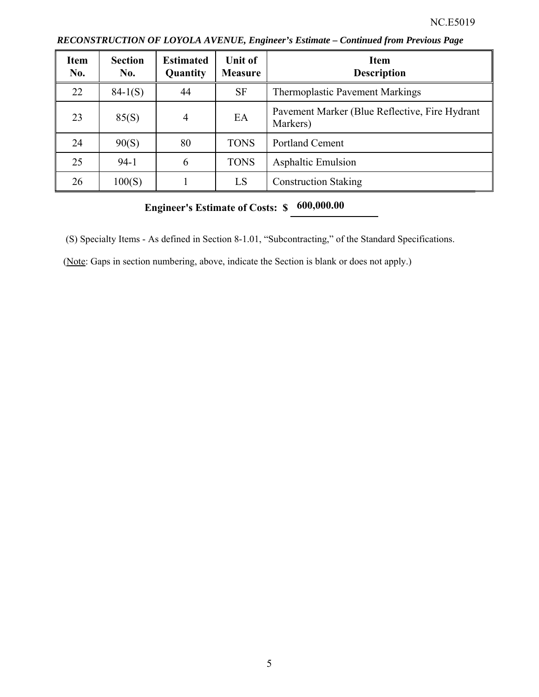| <b>Item</b><br>No. | <b>Section</b><br>No. | <b>Estimated</b><br>Quantity | Unit of<br><b>Measure</b> | <b>Item</b><br><b>Description</b>                          |
|--------------------|-----------------------|------------------------------|---------------------------|------------------------------------------------------------|
| 22                 | $84-1(S)$             | 44                           | <b>SF</b>                 | <b>Thermoplastic Pavement Markings</b>                     |
| 23                 | 85(S)                 | 4                            | EA                        | Pavement Marker (Blue Reflective, Fire Hydrant<br>Markers) |
| 24                 | 90(S)                 | 80                           | <b>TONS</b>               | <b>Portland Cement</b>                                     |
| 25                 | $94-1$                | 6                            | <b>TONS</b>               | <b>Asphaltic Emulsion</b>                                  |
| 26                 | 100(S)                |                              | LS                        | <b>Construction Staking</b>                                |

*RECONSTRUCTION OF LOYOLA AVENUE, Engineer's Estimate – Continued from Previous Page* 

# **Engineer's Estimate of Costs: \$ 600,000.00**

(S) Specialty Items - As defined in Section 8-1.01, "Subcontracting," of the Standard Specifications.

(Note: Gaps in section numbering, above, indicate the Section is blank or does not apply.)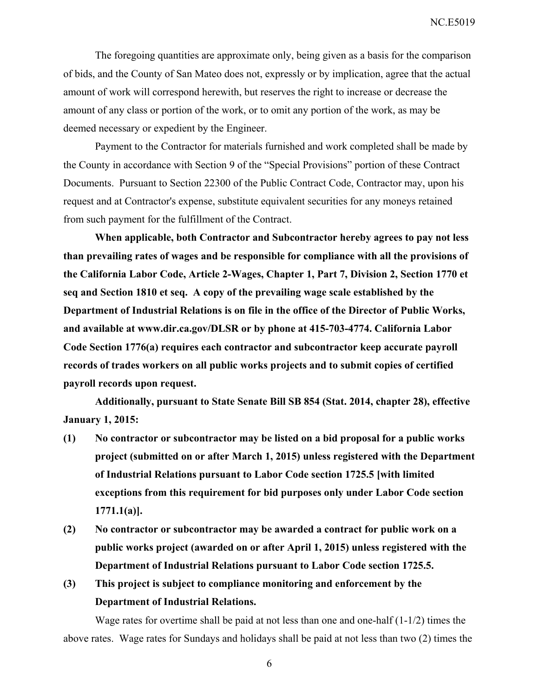NC.E5019

The foregoing quantities are approximate only, being given as a basis for the comparison of bids, and the County of San Mateo does not, expressly or by implication, agree that the actual amount of work will correspond herewith, but reserves the right to increase or decrease the amount of any class or portion of the work, or to omit any portion of the work, as may be deemed necessary or expedient by the Engineer.

Payment to the Contractor for materials furnished and work completed shall be made by the County in accordance with Section 9 of the "Special Provisions" portion of these Contract Documents. Pursuant to Section 22300 of the Public Contract Code, Contractor may, upon his request and at Contractor's expense, substitute equivalent securities for any moneys retained from such payment for the fulfillment of the Contract.

**When applicable, both Contractor and Subcontractor hereby agrees to pay not less than prevailing rates of wages and be responsible for compliance with all the provisions of the California Labor Code, Article 2-Wages, Chapter 1, Part 7, Division 2, Section 1770 et seq and Section 1810 et seq. A copy of the prevailing wage scale established by the Department of Industrial Relations is on file in the office of the Director of Public Works, and available at www.dir.ca.gov/DLSR or by phone at 415-703-4774. California Labor Code Section 1776(a) requires each contractor and subcontractor keep accurate payroll records of trades workers on all public works projects and to submit copies of certified payroll records upon request.** 

**Additionally, pursuant to State Senate Bill SB 854 (Stat. 2014, chapter 28), effective January 1, 2015:** 

- **(1) No contractor or subcontractor may be listed on a bid proposal for a public works project (submitted on or after March 1, 2015) unless registered with the Department of Industrial Relations pursuant to Labor Code section 1725.5 [with limited exceptions from this requirement for bid purposes only under Labor Code section 1771.1(a)].**
- **(2) No contractor or subcontractor may be awarded a contract for public work on a public works project (awarded on or after April 1, 2015) unless registered with the Department of Industrial Relations pursuant to Labor Code section 1725.5.**
- **(3) This project is subject to compliance monitoring and enforcement by the Department of Industrial Relations.**

Wage rates for overtime shall be paid at not less than one and one-half  $(1-1/2)$  times the above rates. Wage rates for Sundays and holidays shall be paid at not less than two (2) times the

6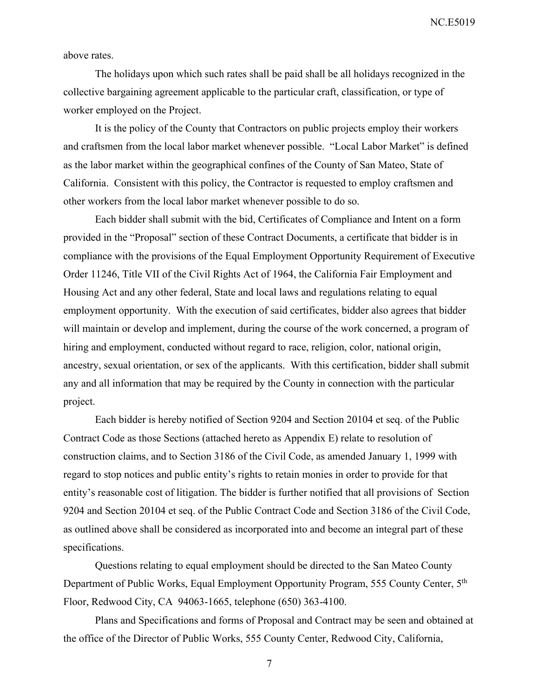NC.E5019

above rates.

The holidays upon which such rates shall be paid shall be all holidays recognized in the collective bargaining agreement applicable to the particular craft, classification, or type of worker employed on the Project.

It is the policy of the County that Contractors on public projects employ their workers and craftsmen from the local labor market whenever possible. "Local Labor Market" is defined as the labor market within the geographical confines of the County of San Mateo, State of California. Consistent with this policy, the Contractor is requested to employ craftsmen and other workers from the local labor market whenever possible to do so.

Each bidder shall submit with the bid, Certificates of Compliance and Intent on a form provided in the "Proposal" section of these Contract Documents, a certificate that bidder is in compliance with the provisions of the Equal Employment Opportunity Requirement of Executive Order 11246, Title VII of the Civil Rights Act of 1964, the California Fair Employment and Housing Act and any other federal, State and local laws and regulations relating to equal employment opportunity. With the execution of said certificates, bidder also agrees that bidder will maintain or develop and implement, during the course of the work concerned, a program of hiring and employment, conducted without regard to race, religion, color, national origin, ancestry, sexual orientation, or sex of the applicants. With this certification, bidder shall submit any and all information that may be required by the County in connection with the particular project.

Each bidder is hereby notified of Section 9204 and Section 20104 et seq. of the Public Contract Code as those Sections (attached hereto as Appendix E) relate to resolution of construction claims, and to Section 3186 of the Civil Code, as amended January 1, 1999 with regard to stop notices and public entity's rights to retain monies in order to provide for that entity's reasonable cost of litigation. The bidder is further notified that all provisions of Section 9204 and Section 20104 et seq. of the Public Contract Code and Section 3186 of the Civil Code, as outlined above shall be considered as incorporated into and become an integral part of these specifications.

Questions relating to equal employment should be directed to the San Mateo County Department of Public Works, Equal Employment Opportunity Program, 555 County Center, 5th Floor, Redwood City, CA 94063-1665, telephone (650) 363-4100.

Plans and Specifications and forms of Proposal and Contract may be seen and obtained at the office of the Director of Public Works, 555 County Center, Redwood City, California,

7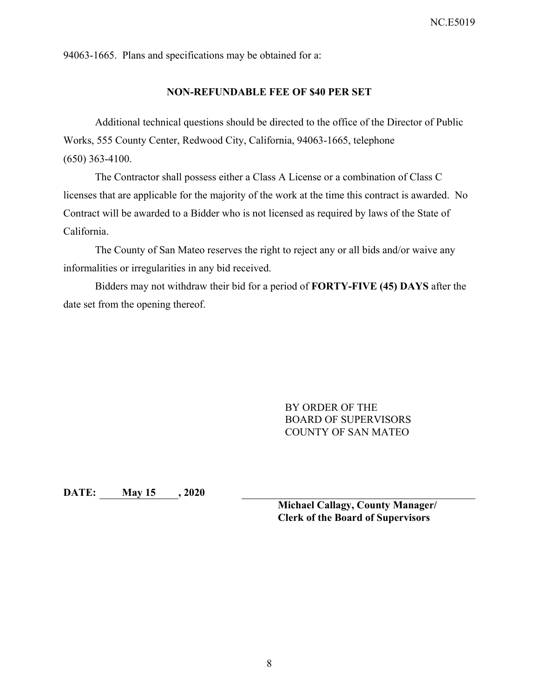94063-1665. Plans and specifications may be obtained for a:

#### **NON-REFUNDABLE FEE OF \$40 PER SET**

Additional technical questions should be directed to the office of the Director of Public Works, 555 County Center, Redwood City, California, 94063-1665, telephone (650) 363-4100.

The Contractor shall possess either a Class A License or a combination of Class C licenses that are applicable for the majority of the work at the time this contract is awarded. No Contract will be awarded to a Bidder who is not licensed as required by laws of the State of California.

The County of San Mateo reserves the right to reject any or all bids and/or waive any informalities or irregularities in any bid received.

Bidders may not withdraw their bid for a period of **FORTY-FIVE (45) DAYS** after the date set from the opening thereof.

> BY ORDER OF THE BOARD OF SUPERVISORS COUNTY OF SAN MATEO

**DATE: May 15 , 2020** 

**Michael Callagy, County Manager/ Clerk of the Board of Supervisors**